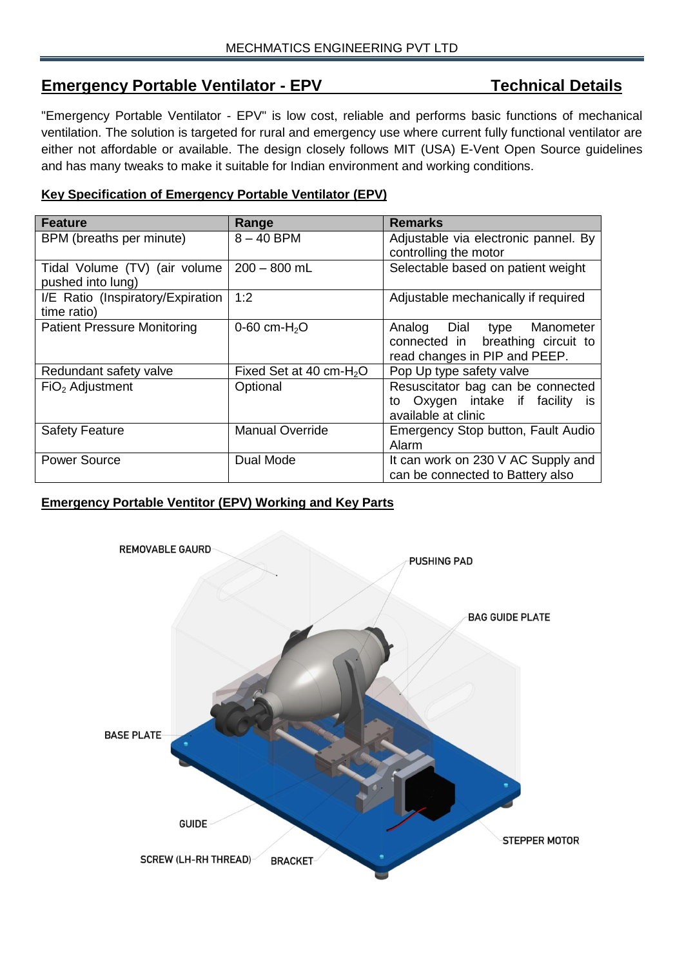## **Emergency Portable Ventilator - EPV Technical Details**

"Emergency Portable Ventilator - EPV" is low cost, reliable and performs basic functions of mechanical ventilation. The solution is targeted for rural and emergency use where current fully functional ventilator are either not affordable or available. The design closely follows MIT (USA) E-Vent Open Source guidelines and has many tweaks to make it suitable for Indian environment and working conditions.

## **Key Specification of Emergency Portable Ventilator (EPV)**

| <b>Feature</b>                                     | Range                      | <b>Remarks</b>                                                                                            |
|----------------------------------------------------|----------------------------|-----------------------------------------------------------------------------------------------------------|
| BPM (breaths per minute)                           | $8 - 40$ BPM               | Adjustable via electronic pannel. By<br>controlling the motor                                             |
| Tidal Volume (TV) (air volume<br>pushed into lung) | $200 - 800$ mL             | Selectable based on patient weight                                                                        |
| I/E Ratio (Inspiratory/Expiration<br>time ratio)   | 1:2                        | Adjustable mechanically if required                                                                       |
| <b>Patient Pressure Monitoring</b>                 | 0-60 cm- $H_2O$            | Dial<br>Manometer<br>Analog<br>type<br>connected in breathing circuit to<br>read changes in PIP and PEEP. |
| Redundant safety valve                             | Fixed Set at 40 cm- $H_2O$ | Pop Up type safety valve                                                                                  |
| $FiO2$ Adjustment                                  | Optional                   | Resuscitator bag can be connected<br>to Oxygen intake if facility is<br>available at clinic               |
| <b>Safety Feature</b>                              | <b>Manual Override</b>     | Emergency Stop button, Fault Audio<br>Alarm                                                               |
| <b>Power Source</b>                                | Dual Mode                  | It can work on 230 V AC Supply and<br>can be connected to Battery also                                    |

## **Emergency Portable Ventitor (EPV) Working and Key Parts**